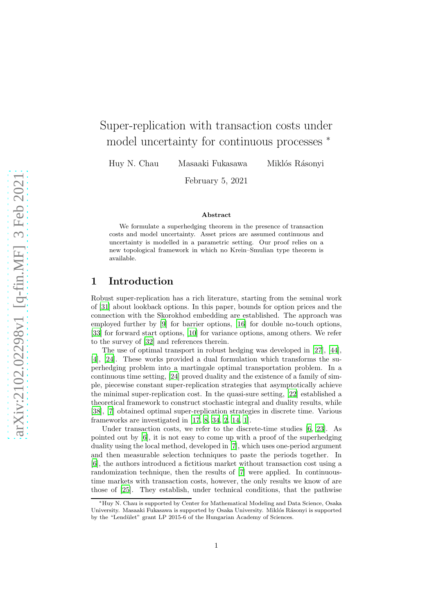# Super-replication with transaction costs under model uncertainty for continuous processes <sup>∗</sup>

Huy N. Chau Masaaki Fukasawa Miklós Rásonyi

February 5, 2021

#### Abstract

We formulate a superhedging theorem in the presence of transaction costs and model uncertainty. Asset prices are assumed continuous and uncertainty is modelled in a parametric setting. Our proof relies on a new topological framework in which no Krein–Smulian type theorem is available.

## 1 Introduction

Robust super-replication has a rich literature, starting from the seminal work of [\[31\]](#page-17-0) about lookback options. In this paper, bounds for option prices and the connection with the Skorokhod embedding are established. The approach was employed further by [\[9\]](#page-16-0) for barrier options, [\[16\]](#page-16-1) for double no-touch options, [\[33\]](#page-17-1) for forward start options, [\[10\]](#page-16-2) for variance options, among others. We refer to the survey of [\[32\]](#page-17-2) and references therein.

The use of optimal transport in robust hedging was developed in [\[27](#page-17-3)], [\[44\]](#page-18-0), [\[4\]](#page-15-0), [\[24\]](#page-16-3). These works provided a dual formulation which transforms the superhedging problem into a martingale optimal transportation problem. In a continuous time setting, [\[24\]](#page-16-3) proved duality and the existence of a family of simple, piecewise constant super-replication strategies that asymptotically achieve the minimal super-replication cost. In the quasi-sure setting, [\[22](#page-16-4)] established a theoretical framework to construct stochastic integral and duality results, while [\[38\]](#page-17-4), [\[7](#page-15-1)] obtained optimal super-replication strategies in discrete time. Various frameworks are investigated in [\[17,](#page-16-5) [8,](#page-15-2) [34,](#page-17-5) [2](#page-15-3), [14](#page-16-6), [1](#page-15-4)].

Under transaction costs, we refer to the discrete-time studies [\[6,](#page-15-5) [23\]](#page-16-7). As pointed out by [\[6\]](#page-15-5), it is not easy to come up with a proof of the superhedging duality using the local method, developed in [\[7](#page-15-1)], which uses one-period argument and then measurable selection techniques to paste the periods together. In [\[6\]](#page-15-5), the authors introduced a fictitious market without transaction cost using a randomization technique, then the results of [\[7\]](#page-15-1) were applied. In continuoustime markets with transaction costs, however, the only results we know of are those of [\[25\]](#page-16-8). They establish, under technical conditions, that the pathwise

<sup>∗</sup>Huy N. Chau is supported by Center for Mathematical Modeling and Data Science, Osaka University. Masaaki Fukasawa is supported by Osaka University. Miklós Rásonyi is supported by the "Lendület" grant LP 2015-6 of the Hungarian Academy of Sciences.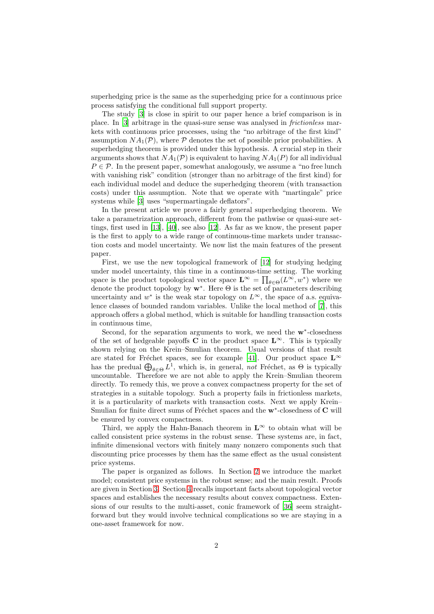superhedging price is the same as the superhedging price for a continuous price process satisfying the conditional full support property.

The study [\[3](#page-15-6)] is close in spirit to our paper hence a brief comparison is in place. In [\[3\]](#page-15-6) arbitrage in the quasi-sure sense was analysed in *frictionless* markets with continuous price processes, using the "no arbitrage of the first kind" assumption  $NA_1(\mathcal{P})$ , where  $\mathcal P$  denotes the set of possible prior probabilities. A superhedging theorem is provided under this hypothesis. A crucial step in their arguments shows that  $NA_1(\mathcal{P})$  is equivalent to having  $NA_1(P)$  for all individual  $P \in \mathcal{P}$ . In the present paper, somewhat analogously, we assume a "no free lunch" with vanishing risk" condition (stronger than no arbitrage of the first kind) for each individual model and deduce the superhedging theorem (with transaction costs) under this assumption. Note that we operate with "martingale" price systems while [\[3\]](#page-15-6) uses "supermartingale deflators".

In the present article we prove a fairly general superhedging theorem. We take a parametrization approach, different from the pathwise or quasi-sure settings, first used in [\[13\]](#page-16-9), [\[40\]](#page-17-6), see also [\[12\]](#page-16-10). As far as we know, the present paper is the first to apply to a wide range of continuous-time markets under transaction costs and model uncertainty. We now list the main features of the present paper.

First, we use the new topological framework of [\[12](#page-16-10)] for studying hedging under model uncertainty, this time in a continuous-time setting. The working space is the product topological vector space  $\mathbf{L}^{\infty} = \prod_{\theta \in \Theta} (L^{\infty}, w^*)$  where we denote the product topology by  $w^*$ . Here  $\Theta$  is the set of parameters describing uncertainty and  $w^*$  is the weak star topology on  $L^{\infty}$ , the space of a.s. equivalence classes of bounded random variables. Unlike the local method of [\[7\]](#page-15-1), this approach offers a global method, which is suitable for handling transaction costs in continuous time,

Second, for the separation arguments to work, we need the w<sup>∗</sup>-closedness of the set of hedgeable payoffs C in the product space  $\mathbf{L}^{\infty}$ . This is typically shown relying on the Krein–Smulian theorem. Usual versions of that result are stated for Fréchet spaces, see for example [\[41](#page-17-7)]. Our product space  $L^{\infty}$ has the predual  $\bigoplus_{\theta \in \Theta} L^1$ , which is, in general, *not* Fréchet, as  $\Theta$  is typically uncountable. Therefore we are not able to apply the Krein–Smulian theorem directly. To remedy this, we prove a convex compactness property for the set of strategies in a suitable topology. Such a property fails in frictionless markets, it is a particularity of markets with transaction costs. Next we apply Krein– Smulian for finite direct sums of Fréchet spaces and the  $\mathbf{w}^*{\text{-}}{\text{closedness}}$  of  $\mathbf C$  will be ensured by convex compactness.

Third, we apply the Hahn-Banach theorem in  $\mathbf{L}^{\infty}$  to obtain what will be called consistent price systems in the robust sense. These systems are, in fact, infinite dimensional vectors with finitely many nonzero components such that discounting price processes by them has the same effect as the usual consistent price systems.

The paper is organized as follows. In Section [2](#page-2-0) we introduce the market model; consistent price systems in the robust sense; and the main result. Proofs are given in Section [3.](#page-5-0) Section [4](#page-11-0) recalls important facts about topological vector spaces and establishes the necessary results about convex compactness. Extensions of our results to the multi-asset, conic framework of [\[36\]](#page-17-8) seem straightforward but they would involve technical complications so we are staying in a one-asset framework for now.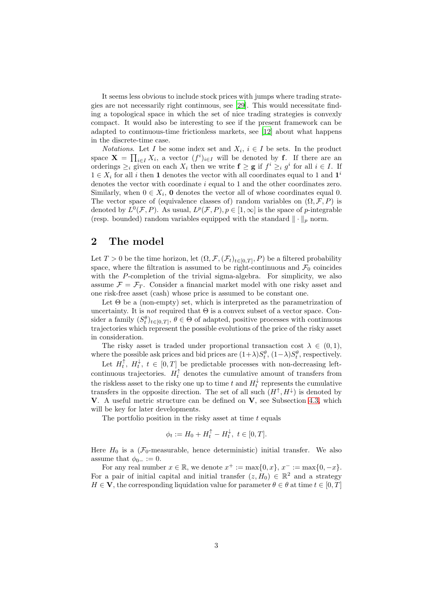It seems less obvious to include stock prices with jumps where trading strategies are not necessarily right continuous, see [\[29\]](#page-17-9). This would necessitate finding a topological space in which the set of nice trading strategies is convexly compact. It would also be interesting to see if the present framework can be adapted to continuous-time frictionless markets, see [\[12](#page-16-10)] about what happens in the discrete-time case.

*Notations*. Let *I* be some index set and  $X_i$ ,  $i \in I$  be sets. In the product space  $\mathbf{X} = \prod_{i \in I} X_i$ , a vector  $(f^i)_{i \in I}$  will be denoted by **f**. If there are an orderings  $\geq_i$  given on each  $X_i$  then we write  $f \geq g$  if  $f^i \geq_i g^i$  for all  $i \in I$ . If  $1 \in X_i$  for all  $i$  then  $\bf 1$  denotes the vector with all coordinates equal to  $1$  and  $\bf 1^i$ denotes the vector with coordinate i equal to 1 and the other coordinates zero. Similarly, when  $0 \in X_i$ , **0** denotes the vector all of whose coordinates equal 0. The vector space of (equivalence classes of) random variables on  $(\Omega, \mathcal{F}, P)$  is denoted by  $L^0(\mathcal{F}, P)$ . As usual,  $L^p(\mathcal{F}, P), p \in [1, \infty]$  is the space of p-integrable (resp. bounded) random variables equipped with the standard  $\|\cdot\|_p$  norm.

## <span id="page-2-0"></span>2 The model

Let  $T > 0$  be the time horizon, let  $(\Omega, \mathcal{F}, (\mathcal{F}_t)_{t \in [0,T]}, P)$  be a filtered probability space, where the filtration is assumed to be right-continuous and  $\mathcal{F}_0$  coincides with the P-completion of the trivial sigma-algebra. For simplicity, we also assume  $\mathcal{F} = \mathcal{F}_T$ . Consider a financial market model with one risky asset and one risk-free asset (cash) whose price is assumed to be constant one.

Let  $\Theta$  be a (non-empty) set, which is interpreted as the parametrization of uncertainty. It is *not* required that  $\Theta$  is a convex subset of a vector space. Consider a family  $(S_t^{\theta})_{t\in[0,T]}, \theta \in \Theta$  of adapted, positive processes with continuous trajectories which represent the possible evolutions of the price of the risky asset in consideration.

The risky asset is traded under proportional transaction cost  $\lambda \in (0,1)$ , where the possible ask prices and bid prices are  $(1+\lambda)S_t^{\theta}$ ,  $(1-\lambda)S_t^{\theta}$ , respectively.

Let  $H_t^{\uparrow}$ ,  $H_t^{\downarrow}$ ,  $t \in [0, T]$  be predictable processes with non-decreasing leftcontinuous trajectories.  $H_t^{\uparrow}$  denotes the cumulative amount of transfers from the riskless asset to the risky one up to time t and  $H_t^{\downarrow}$  represents the cumulative transfers in the opposite direction. The set of all such  $(H^{\uparrow}, H^{\downarrow})$  is denoted by **V**. A useful metric structure can be defined on  $V$ , see Subsection [4.3,](#page-14-0) which will be key for later developments.

The portfolio position in the risky asset at time  $t$  equals

$$
\phi_t := H_0 + H_t^{\uparrow} - H_t^{\downarrow}, \ t \in [0, T].
$$

Here  $H_0$  is a ( $\mathcal{F}_0$ -measurable, hence deterministic) initial transfer. We also assume that  $\phi_{0-} := 0$ .

For any real number  $x \in \mathbb{R}$ , we denote  $x^+ := \max\{0, x\}$ ,  $x^- := \max\{0, -x\}$ . For a pair of initial capital and initial transfer  $(z, H_0) \in \mathbb{R}^2$  and a strategy  $H \in \mathbf{V}$ , the corresponding liquidation value for parameter  $\theta \in \theta$  at time  $t \in [0, T]$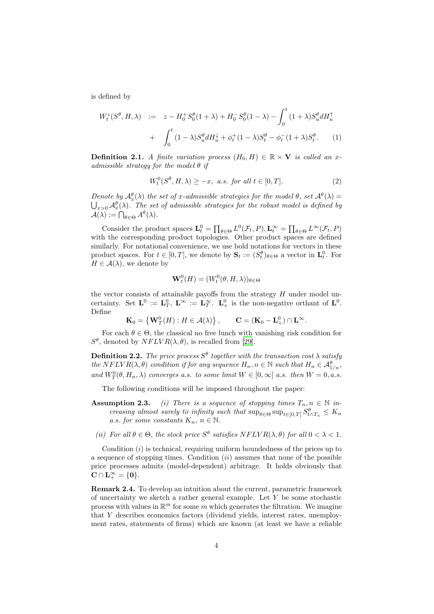is defined by

$$
W_t^z(S^{\theta}, H, \lambda) := z - H_0^+ S_0^{\theta} (1 + \lambda) + H_0^- S_0^{\theta} (1 - \lambda) - \int_0^t (1 + \lambda) S_u^{\theta} dH_u^{\dagger} + \int_0^t (1 - \lambda) S_u^{\theta} dH_u^{\downarrow} + \phi_t^+ (1 - \lambda) S_t^{\theta} - \phi_t^- (1 + \lambda) S_t^{\theta}.
$$
 (1)

<span id="page-3-0"></span>**Definition 2.1.** *A finite variation process*  $(H_0, H) \in \mathbb{R} \times V$  *is called an xadmissible strategy for the model* θ *if*

$$
W_t^0(S^{\theta}, H, \lambda) \ge -x, \text{ a.s. for all } t \in [0, T].
$$
 (2)

*Denote by*  $\mathcal{A}_{x}^{\theta}(\lambda)$  *the set of x-admissible strategies for the model*  $\theta$ *, set*  $\mathcal{A}^{\theta}(\lambda)$  =  $\bigcup_{x>0} \mathcal{A}_x^{\theta}(\lambda)$ . The set of admissible strategies for the robust model is defined by  $\mathcal{A}(\lambda) := \bigcap_{\theta \in \Theta} A^{\theta}(\lambda).$ 

Consider the product spaces  $\mathbf{L}_t^0 = \prod_{\theta \in \Theta} L^0(\mathcal{F}_t, P), \mathbf{L}_t^{\infty} = \prod_{\theta \in \Theta} L^{\infty}(\mathcal{F}_t, P)$ with the corresponding product topologies. Other product spaces are defined similarly. For notational convenience, we use bold notations for vectors in these product spaces. For  $t \in [0, T]$ , we denote by  $\mathbf{S}_t := (S_t^{\theta})_{\theta \in \Theta}$  a vector in  $\mathbf{L}_t^0$ . For  $H \in \mathcal{A}(\lambda)$ , we denote by

$$
\mathbf{W}_t^0(H) = (W_t^0(\theta, H, \lambda))_{\theta \in \Theta}
$$

the vector consists of attainable payoffs from the strategy  $H$  under model uncertainty. Set  $\mathbf{L}^0 := \mathbf{L}_T^0$ ,  $\mathbf{L}^{\infty} := \mathbf{L}_T^{\infty}$ .  $\mathbf{L}_+^0$  is the non-negative orthant of  $\mathbf{L}^0$ . Define

$$
\mathbf{K}_0 = \left\{ \mathbf{W}_T^0(H) : H \in \mathcal{A}(\lambda) \right\}, \qquad \mathbf{C} = (\mathbf{K}_0 - \mathbf{L}_+^0) \cap \mathbf{L}^\infty.
$$

For each  $\theta \in \Theta$ , the classical no free lunch with vanishing risk condition for  $S^{\theta}$ , denoted by  $NFLVR(\lambda, \theta)$ , is recalled from [\[29\]](#page-17-9).

**Definition 2.2.** *The price process*  $S^{\theta}$  *together with the transaction cost*  $\lambda$  *satisfy the*  $NFLVR(\lambda, \theta)$  *condition if for any sequence*  $H_n, n \in \mathbb{N}$  *such that*  $H_n \in \mathcal{A}_{1/n}^{\theta}$ *, and*  $W_T^0(\theta, H_n, \lambda)$  *converges a.s. to some limit*  $W \in [0, \infty]$  *a.s. then*  $W = 0$ , *a.s.* 

The following conditions will be imposed throughout the paper:

- **Assumption 2.3.** *(i)* There is a sequence of stopping times  $T_n, n \in \mathbb{N}$  in*creasing almost surely to infinity such that*  $\sup_{\theta \in \Theta} \sup_{t \in [0,T]} S_{t \wedge T_n}^{\theta} \leq K_n$ *a.s. for some constants*  $K_n$ ,  $n \in \mathbb{N}$ .
- (*ii*) For all  $\theta \in \Theta$ , the stock price  $S^{\theta}$  satisfies  $NFLVR(\lambda, \theta)$  for all  $0 < \lambda < 1$ .

Condition  $(i)$  is technical, requiring uniform boundedness of the prices up to a sequence of stopping times. Condition  $(ii)$  assumes that none of the possible price processes admits (model-dependent) arbitrage. It holds obviously that  $\mathbf{C} \cap \mathbf{L}^{\infty}_{+} = \{ \mathbf{0} \}.$ 

Remark 2.4. To develop an intuition about the current, parametric framework of uncertainty we sketch a rather general example. Let  $Y$  be some stochastic process with values in  $\mathbb{R}^m$  for some m which generates the filtration. We imagine that Y describes economics factors (dividend yields, interest rates, unemployment rates, statements of firms) which are known (at least we have a reliable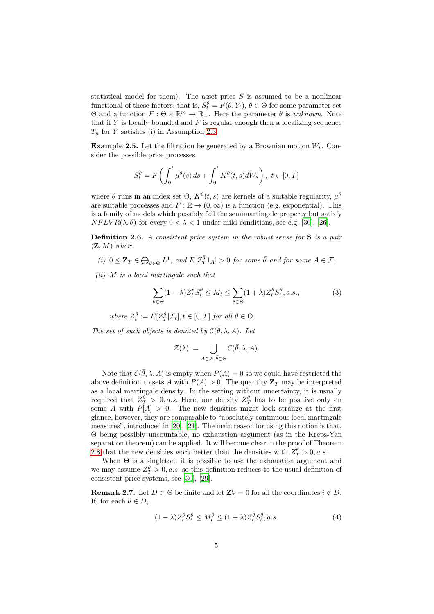statistical model for them). The asset price  $S$  is assumed to be a nonlinear functional of these factors, that is,  $S_t^{\theta} = F(\theta, Y_t), \theta \in \Theta$  for some parameter set  $Θ$  and a function  $F:Θ \times \mathbb{R}^m \to \mathbb{R}_+$ . Here the parameter  $θ$  is *unknown*. Note that if  $Y$  is locally bounded and  $F$  is regular enough then a localizing sequence  $T_n$  for Y satisfies (i) in Assumption 2.3.

**Example 2.5.** Let the filtration be generated by a Brownian motion  $W_t$ . Consider the possible price processes

$$
S_t^{\theta} = F\left(\int_0^t \mu^{\theta}(s) ds + \int_0^t K^{\theta}(t, s) dW_s\right), \ t \in [0, T]
$$

where  $\theta$  runs in an index set  $\Theta$ ,  $K^{\theta}(t, s)$  are kernels of a suitable regularity,  $\mu^{\theta}$ are suitable processes and  $F : \mathbb{R} \to (0, \infty)$  is a function (e.g. exponential). This is a family of models which possibly fail the semimartingale property but satisfy  $NFLVR(\lambda, \theta)$  for every  $0 < \lambda < 1$  under mild conditions, see e.g. [\[30](#page-17-10)], [\[26\]](#page-17-11).

Definition 2.6. *A consistent price system in the robust sense for* S *is a pair* (Z, M) *where*

- $(i)$   $0 \leq \mathbf{Z}_T \in \bigoplus_{\theta \in \Theta} L^1$ , and  $E[Z_T^{\overline{\theta}}1_A] > 0$  for some  $\overline{\theta}$  and for some  $A \in \mathcal{F}$ .
- *(ii)* M *is a local martingale such that*

<span id="page-4-0"></span>
$$
\sum_{\theta \in \Theta} (1 - \lambda) Z_t^{\theta} S_t^{\theta} \le M_t \le \sum_{\theta \in \Theta} (1 + \lambda) Z_t^{\theta} S_t^{\theta}, a.s., \tag{3}
$$

where  $Z_t^{\theta} := E[Z_T^{\theta} | \mathcal{F}_t], t \in [0, T]$  for all  $\theta \in \Theta$ .

*The set of such objects is denoted by*  $C(\bar{\theta}, \lambda, A)$ *. Let* 

$$
\mathcal{Z}(\lambda):=\bigcup_{A\in\mathcal{F},\bar{\theta}\in\Theta}\mathcal{C}(\bar{\theta},\lambda,A).
$$

Note that  $\mathcal{C}(\bar{\theta}, \lambda, A)$  is empty when  $P(A) = 0$  so we could have restricted the above definition to sets A with  $P(A) > 0$ . The quantity  $\mathbb{Z}_T$  may be interpreted as a local martingale density. In the setting without uncertainty, it is usually required that  $Z_T^{\tilde{\theta}} > 0$ , *a.s.* Here, our density  $Z_T^{\tilde{\theta}}$  has to be positive only on some A with  $P[A] > 0$ . The new densities might look strange at the first glance, however, they are comparable to "absolutely continuous local martingale measures", introduced in [\[20\]](#page-16-11), [\[21\]](#page-16-12). The main reason for using this notion is that, Θ being possibly uncountable, no exhaustion argument (as in the Kreps-Yan separation theorem) can be applied. It will become clear in the proof of Theorem [2.8](#page-5-1) that the new densities work better than the densities with  $Z_{T}^{\bar{\theta}} > 0$ , a.s..

When Θ is a singleton, it is possible to use the exhaustion argument and we may assume  $Z_T^{\bar{\theta}} > 0$ , *a.s.* so this definition reduces to the usual definition of consistent price systems, see [\[30](#page-17-10)], [\[29\]](#page-17-9).

**Remark 2.7.** Let  $D \subset \Theta$  be finite and let  $\mathbf{Z}_T^i = 0$  for all the coordinates  $i \notin D$ . If, for each  $\theta \in D$ ,

$$
(1 - \lambda)Z_t^{\theta} S_t^{\theta} \le M_t^{\theta} \le (1 + \lambda)Z_t^{\theta} S_t^{\theta}, a.s.
$$
\n(4)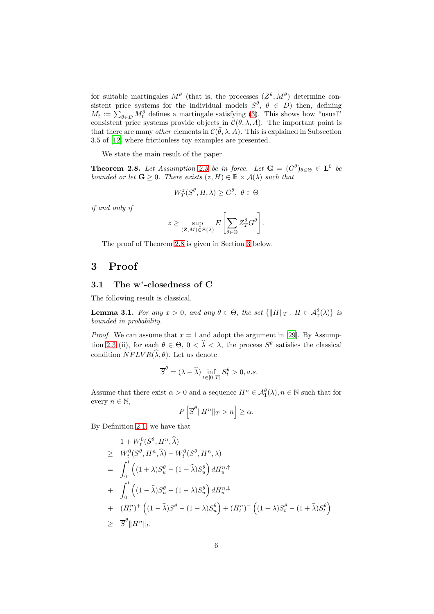for suitable martingales  $M^{\theta}$  (that is, the processes  $(Z^{\theta}, M^{\theta})$  determine consistent price systems for the individual models  $S^{\theta}$ ,  $\theta \in D$ ) then, defining  $M_t := \sum_{\theta \in D} M_t^{\theta}$  defines a martingale satisfying [\(3\)](#page-4-0). This shows how "usual" consistent price systems provide objects in  $\mathcal{C}(\bar{\theta}, \lambda, A)$ . The important point is that there are many *other* elements in  $\mathcal{C}(\bar{\theta}, \lambda, A)$ . This is explained in Subsection 3.5 of [\[12\]](#page-16-10) where frictionless toy examples are presented.

We state the main result of the paper.

<span id="page-5-1"></span>**Theorem 2.8.** Let Assumption 2.3 be in force. Let  $G = (G^{\theta})_{\theta \in \Theta} \in L^0$  be *bounded or let*  $\mathbf{G} \geq 0$ *. There exists*  $(z, H) \in \mathbb{R} \times \mathcal{A}(\lambda)$  *such that* 

$$
W_T^z(S^\theta, H, \lambda) \ge G^\theta, \ \theta \in \Theta
$$

*if and only if*

$$
z \geq \sup_{(\mathbf{Z},M)\in\mathcal{Z}(\lambda)} E\left[\sum_{\theta\in\Theta} Z_T^{\theta}G^{\theta}\right].
$$

The proof of Theorem [2.8](#page-5-1) is given in Section [3](#page-5-0) below.

## <span id="page-5-0"></span>3 Proof

## 3.1 The w<sup>∗</sup> -closedness of C

The following result is classical.

<span id="page-5-2"></span>**Lemma 3.1.** *For any*  $x > 0$ *, and any*  $\theta \in \Theta$ *, the set*  $\{||H||_T : H \in \mathcal{A}_x^{\theta}(\lambda)\}\$  *is bounded in probability.*

*Proof.* We can assume that  $x = 1$  and adopt the argument in [\[29](#page-17-9)]. By Assumption 2.3 (ii), for each  $\theta \in \Theta$ ,  $0 < \lambda < \lambda$ , the process  $S^{\theta}$  satisfies the classical condition  $NFLVR(\widehat{\lambda}, \theta)$ . Let us denote

$$
\overline{S}^{\theta} = (\lambda - \widehat{\lambda}) \inf_{t \in [0,T]} S^{\theta}_t > 0, a.s.
$$

Assume that there exist  $\alpha > 0$  and a sequence  $H^n \in \mathcal{A}_1^{\theta}(\lambda), n \in \mathbb{N}$  such that for every  $n \in \mathbb{N}$ ,

$$
P\left[\overline{S}^{\theta} \| H^n \|_{T} > n\right] \ge \alpha.
$$

By Definition [2.1,](#page-3-0) we have that

$$
1 + W_t^0(S^\theta, H^n, \widehat{\lambda})
$$
  
\n
$$
\geq W_t^0(S^\theta, H^n, \widehat{\lambda}) - W_t^0(S^\theta, H^n, \lambda)
$$
  
\n
$$
= \int_0^t \left( (1 + \lambda)S_u^\theta - (1 + \widehat{\lambda})S_u^\theta \right) dH_u^{n,\uparrow}
$$
  
\n
$$
+ \int_0^t \left( (1 - \widehat{\lambda})S_u^\theta - (1 - \lambda)S_u^\theta \right) dH_u^{n,\downarrow}
$$
  
\n
$$
+ (H_t^n)^+ \left( (1 - \widehat{\lambda})S^\theta - (1 - \lambda)S_u^\theta \right) + (H_t^n)^- \left( (1 + \lambda)S_t^\theta - (1 + \widehat{\lambda})S_t^\theta \right)
$$
  
\n
$$
\geq \overline{S}^\theta \|H^n\|_t.
$$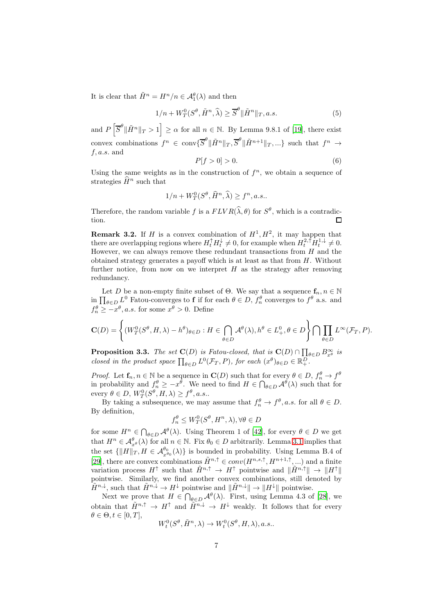It is clear that  $\tilde{H}^n = H^n/n \in \mathcal{A}_1^{\theta}(\lambda)$  and then

$$
1/n + W_T^0(S^{\theta}, \tilde{H}^n, \hat{\lambda}) \ge \overline{S}^{\theta} \|\tilde{H}^n\|_T, a.s.
$$
 (5)

and  $P\left[\overline{S}^{\theta} \|\tilde{H}^n\|_T > 1\right] \ge \alpha$  for all  $n \in \mathbb{N}$ . By Lemma 9.8.1 of [\[19](#page-16-13)], there exist convex combinations  $f^n \in \text{conv} \{ \overline{S}^\theta \|\tilde{H}^n \|_T, \overline{S}^\theta \|\tilde{H}^{n+1} \|_T, \ldots \}$  such that  $f^n \to$  $f, a.s.$  and

$$
P[f>0]>0.\tag{6}
$$

Using the same weights as in the construction of  $f^n$ , we obtain a sequence of strategies  $\widehat{H}^n$  such that

$$
1/n + W_T^0(S^{\theta}, \widehat{H}^n, \widehat{\lambda}) \ge f^n, a.s..
$$

Therefore, the random variable f is a  $FLVR(\hat{\lambda}, \theta)$  for  $S^{\theta}$ , which is a contradiction. П

**Remark 3.2.** If H is a convex combination of  $H^1, H^2$ , it may happen that there are overlapping regions where  $H_t^{\uparrow} H_t^{\downarrow} \neq 0$ , for example when  $H_t^{2,\uparrow} H_t^{1,\downarrow} \neq 0$ . However, we can always remove these redundant transactions from  $H$  and the obtained strategy generates a payoff which is at least as that from  $H$ . Without further notice, from now on we interpret  $H$  as the strategy after removing redundancy.

Let D be a non-empty finite subset of  $\Theta$ . We say that a sequence  $f_n, n \in \mathbb{N}$ in  $\prod_{\theta \in D} L^0$  Fatou-converges to **f** if for each  $\theta \in D$ ,  $f_n^{\theta}$  converges to  $f^{\theta}$  a.s. and  $f_n^{\theta} \geq -x^{\theta}, a.s.$  for some  $x^{\theta} > 0$ . Define

$$
\mathbf{C}(D)=\left\{(W_T^0(S^\theta,H,\lambda)-h^\theta)_{\theta\in D}:H\in\bigcap_{\theta\in D}\mathcal{A}^\theta(\lambda),h^\theta\in L^0_+,\theta\in D\right\}\bigcap\prod_{\theta\in D}L^\infty(\mathcal{F}_T,P).
$$

<span id="page-6-0"></span>**Proposition 3.3.** *The set*  $\mathbf{C}(D)$  *is Fatou-closed, that is*  $\mathbf{C}(D) \cap \prod_{\theta \in D} B_{x^{\theta}}^{\infty}$  *is closed in the product space*  $\prod_{\theta \in D} L^0(\mathcal{F}_T, P)$ *, for each*  $(x^{\theta})_{\theta \in D} \in \mathbb{R}_+^D$ *.* 

*Proof.* Let  $f_n, n \in \mathbb{N}$  be a sequence in  $C(D)$  such that for every  $\theta \in D$ ,  $f_n^{\theta} \to f^{\theta}$ in probability and  $f_n^{\theta} \geq -x^{\theta}$ . We need to find  $H \in \bigcap_{\theta \in D} \mathcal{A}^{\theta}(\lambda)$  such that for every  $\theta \in D$ ,  $W_T^0(S^{\theta}, H, \lambda) \geq f^{\theta}, a.s..$ 

By taking a subsequence, we may assume that  $f_n^{\theta} \to f^{\theta}$ , *a.s.* for all  $\theta \in D$ . By definition,

$$
f_n^{\theta} \le W_T^0(S^{\theta}, H^n, \lambda), \forall \theta \in D
$$

for some  $H^n \in \bigcap_{\theta \in D} \mathcal{A}^{\theta}(\lambda)$ . Using Theorem 1 of [\[42](#page-18-1)], for every  $\theta \in D$  we get that  $H^n \in \mathcal{A}_{x^{\theta}}^{\theta}(\lambda)$  for all  $n \in \mathbb{N}$ . Fix  $\theta_0 \in D$  arbitrarily. Lemma [3.1](#page-5-2) implies that the set  $\{\|H\|_T, H \in \mathcal{A}_{x^{\theta_0}}^{\theta_0}(\lambda)\}\$ is bounded in probability. Using Lemma B.4 of [\[29\]](#page-17-9), there are convex combinations  $\tilde{H}^{n,\uparrow} \in conv(H^{n,s,\uparrow}, H^{n+1,\uparrow}, ...)$  and a finite variation process  $H^{\uparrow}$  such that  $\tilde{H}^{n,\uparrow} \to H^{\uparrow}$  pointwise and  $\|\tilde{H}^{n,\uparrow}\| \to \|H^{\uparrow}\|$ pointwise. Similarly, we find another convex combinations, still denoted by  $\widetilde{H}^{n,\downarrow}$ , such that  $\widetilde{H}^{n,\downarrow} \to H^{\downarrow}$  pointwise and  $\|\widetilde{H}^{n,\downarrow}\| \to \|H^{\downarrow}\|$  pointwise.

Next we prove that  $H \in \bigcap_{\theta \in D} \mathcal{A}^{\theta}(\lambda)$ . First, using Lemma 4.3 of [\[28\]](#page-17-12), we obtain that  $\tilde{H}^{n,\uparrow} \to H^{\uparrow}$  and  $\tilde{H}^{n,\downarrow} \to H^{\downarrow}$  weakly. It follows that for every  $\theta \in \Theta, t \in [0, T],$ 

$$
W_t^0(S^\theta, \tilde{H}^n, \lambda) \to W_t^0(S^\theta, H, \lambda), a.s..
$$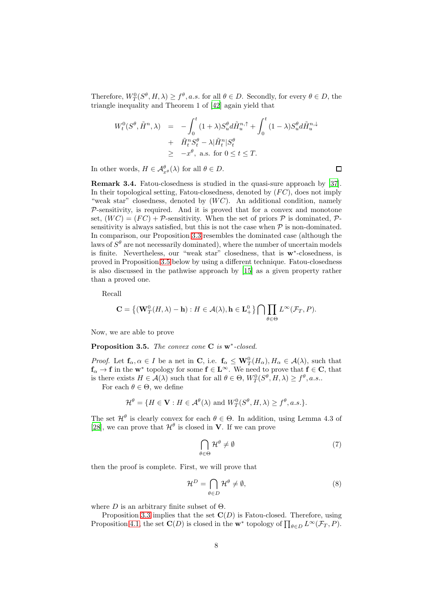Therefore,  $W_T^0(S^{\theta}, H, \lambda) \geq f^{\theta}, a.s.$  for all  $\theta \in D$ . Secondly, for every  $\theta \in D$ , the triangle inequality and Theorem 1 of [\[42\]](#page-18-1) again yield that

$$
W_t^0(S^{\theta}, \tilde{H}^n, \lambda) = -\int_0^t (1+\lambda)S_u^{\theta} d\tilde{H}_u^{n,\uparrow} + \int_0^t (1-\lambda)S_u^{\theta} d\tilde{H}_u^{n,\downarrow}
$$
  
+  $\tilde{H}_t^n S_t^{\theta} - \lambda |\tilde{H}_t^n| S_t^{\theta}$   
 $\geq -x^{\theta}$ , a.s. for  $0 \leq t \leq T$ .

In other words,  $H \in \mathcal{A}^{\theta}_{x^{\theta}}(\lambda)$  for all  $\theta \in D$ .

Remark 3.4. Fatou-closedness is studied in the quasi-sure approach by [\[37\]](#page-17-13). In their topological setting, Fatou-closedness, denoted by  $(FC)$ , does not imply "weak star" closedness, denoted by  $(W C)$ . An additional condition, namely  $P$ -sensitivity, is required. And it is proved that for a convex and monotone set,  $(W C) = (FC) + \mathcal{P}$ -sensitivity. When the set of priors  $\mathcal P$  is dominated,  $\mathcal P$ sensitivity is always satisfied, but this is not the case when  $P$  is non-dominated. In comparison, our Proposition [3.3](#page-6-0) resembles the dominated case (although the laws of  $S^{\theta}$  are not necessarily dominated), where the number of uncertain models is finite. Nevertheless, our "weak star" closedness, that is w<sup>∗</sup> -closedness, is proved in Proposition [3.5](#page-7-0) below by using a different technique. Fatou-closedness is also discussed in the pathwise approach by [\[15\]](#page-16-14) as a given property rather than a proved one.

Recall

$$
\mathbf{C} = \left\{ (\mathbf{W}^0_T(H, \lambda) - \mathbf{h}) : H \in \mathcal{A}(\lambda), \mathbf{h} \in \mathbf{L}^0_+ \right\} \bigcap \prod_{\theta \in \Theta} L^{\infty}(\mathcal{F}_T, P).
$$

Now, we are able to prove

<span id="page-7-0"></span>Proposition 3.5. *The convex cone* C *is* w<sup>∗</sup> *-closed.*

*Proof.* Let  $f_{\alpha}, \alpha \in I$  be a net in C, i.e.  $f_{\alpha} \leq W_T^0(H_{\alpha}), H_{\alpha} \in \mathcal{A}(\lambda)$ , such that  $f_{\alpha} \to f$  in the  $w^*$  topology for some  $f \in L^{\infty}$ . We need to prove that  $f \in C$ , that is there exists  $H \in \mathcal{A}(\lambda)$  such that for all  $\theta \in \Theta$ ,  $W_T^0(S^{\theta}, H, \lambda) \ge f^{\theta}, a.s..$ 

For each  $\theta \in \Theta$ , we define

$$
\mathcal{H}^{\theta} = \{ H \in \mathbf{V} : H \in \mathcal{A}^{\theta}(\lambda) \text{ and } W_T^0(S^{\theta}, H, \lambda) \ge f^{\theta}, a.s.\}.
$$

The set  $\mathcal{H}^{\theta}$  is clearly convex for each  $\theta \in \Theta$ . In addition, using Lemma 4.3 of [\[28\]](#page-17-12), we can prove that  $\mathcal{H}^{\theta}$  is closed in **V**. If we can prove

<span id="page-7-2"></span>
$$
\bigcap_{\theta \in \Theta} \mathcal{H}^{\theta} \neq \emptyset \tag{7}
$$

then the proof is complete. First, we will prove that

<span id="page-7-1"></span>
$$
\mathcal{H}^D = \bigcap_{\theta \in D} \mathcal{H}^\theta \neq \emptyset,
$$
\n(8)

where  $D$  is an arbitrary finite subset of  $\Theta$ .

Proposition [3.3](#page-6-0) implies that the set  $\mathbf{C}(D)$  is Fatou-closed. Therefore, using Proposition [4.1,](#page-12-0) the set  $\mathbf{C}(D)$  is closed in the  $\mathbf{w}^*$  topology of  $\prod_{\theta \in D} L^{\infty}(\mathcal{F}_T, P)$ .

 $\Box$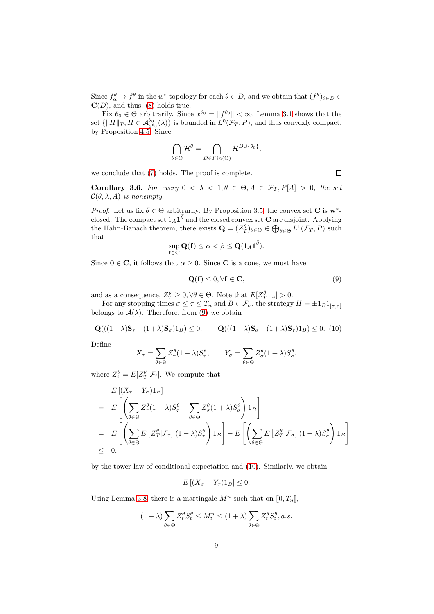Since  $f^{\theta}_{\alpha} \to f^{\theta}$  in the w<sup>\*</sup> topology for each  $\theta \in D$ , and we obtain that  $(f^{\theta})_{\theta \in D} \in$  $\mathbf{C}(D)$ , and thus, [\(8\)](#page-7-1) holds true.

Fix  $\theta_0 \in \Theta$  arbitrarily. Since  $x^{\theta_0} = ||f^{\theta_0}|| < \infty$ , Lemma [3.1](#page-5-2) shows that the set  $\{||H||_T, H \in \mathcal{A}_{x^{\theta_0}}^{\theta_0}(\lambda)\}\$ is bounded in  $L^0(\mathcal{F}_T, P)$ , and thus convexly compact, by Proposition [4.5.](#page-14-1) Since

$$
\bigcap_{\theta \in \Theta} \mathcal{H}^{\theta} = \bigcap_{D \in Fin(\Theta)} \mathcal{H}^{D \cup \{\theta_0\}},
$$

we conclude that [\(7\)](#page-7-2) holds. The proof is complete.

<span id="page-8-2"></span>Corollary 3.6. For every  $0 < \lambda < 1, \theta \in \Theta, A \in \mathcal{F}_T, P[A] > 0$ , the set  $\mathcal{C}(\theta, \lambda, A)$  *is nonempty.* 

*Proof.* Let us fix  $\bar{\theta} \in \Theta$  arbitrarily. By Proposition [3.5,](#page-7-0) the convex set **C** is  $w^*$ closed. The compact set  $1_A 1^{\bar{\theta}}$  and the closed convex set **C** are disjoint. Applying the Hahn-Banach theorem, there exists  $\mathbf{Q} = (Z_T^{\theta})_{\theta \in \Theta} \in \bigoplus_{\theta \in \Theta} L^1(\mathcal{F}_T, P)$  such that

$$
\sup_{\mathbf{f}\in\mathbf{C}}\mathbf{Q}(\mathbf{f})\leq\alpha<\beta\leq\mathbf{Q}(1_A\mathbf{1}^{\bar{\theta}}).
$$

Since  $0 \in \mathbb{C}$ , it follows that  $\alpha \geq 0$ . Since **C** is a cone, we must have

<span id="page-8-0"></span>
$$
\mathbf{Q}(\mathbf{f}) \le 0, \forall \mathbf{f} \in \mathbf{C},\tag{9}
$$

and as a consequence,  $Z_T^{\theta} \geq 0, \forall \theta \in \Theta$ . Note that  $E[Z_T^{\bar{\theta}} 1_A] > 0$ .

For any stopping times  $\sigma \leq \tau \leq T_n$  and  $B \in \mathcal{F}_{\sigma}$ , the strategy  $H = \pm 1_B 1_{[\sigma,\tau]}$ belongs to  $A(\lambda)$ . Therefore, from [\(9\)](#page-8-0) we obtain

<span id="page-8-1"></span>
$$
\mathbf{Q}(((1-\lambda)\mathbf{S}_{\tau}-(1+\lambda)\mathbf{S}_{\sigma})1_B) \le 0, \qquad \mathbf{Q}(((1-\lambda)\mathbf{S}_{\sigma}-(1+\lambda)\mathbf{S}_{\tau})1_B) \le 0. \tag{10}
$$

Define

$$
X_{\tau} = \sum_{\theta \in \Theta} Z_{\tau}^{\theta} (1 - \lambda) S_{\tau}^{\theta}, \qquad Y_{\sigma} = \sum_{\theta \in \Theta} Z_{\sigma}^{\theta} (1 + \lambda) S_{\sigma}^{\theta}.
$$

where  $Z_t^{\theta} = E[Z_T^{\theta} | \mathcal{F}_t].$  We compute that

$$
E\left[\left(X_{\tau}-Y_{\sigma}\right)1_{B}\right]
$$
\n
$$
= E\left[\left(\sum_{\theta\in\Theta}Z_{\tau}^{\theta}(1-\lambda)S_{\tau}^{\theta}-\sum_{\theta\in\Theta}Z_{\sigma}^{\theta}(1+\lambda)S_{\sigma}^{\theta}\right)1_{B}\right]
$$
\n
$$
= E\left[\left(\sum_{\theta\in\Theta}E\left[Z_{T}^{\theta}|\mathcal{F}_{\tau}\right](1-\lambda)S_{\tau}^{\theta}\right)1_{B}\right]-E\left[\left(\sum_{\theta\in\Theta}E\left[Z_{T}^{\theta}|\mathcal{F}_{\sigma}\right](1+\lambda)S_{\sigma}^{\theta}\right)1_{B}\right]
$$
\n
$$
\leq 0,
$$

by the tower law of conditional expectation and [\(10\)](#page-8-1). Similarly, we obtain

$$
E\left[\left(X_{\sigma} - Y_{\tau}\right)1_{B}\right] \leq 0.
$$

Using Lemma [3.8,](#page-9-0) there is a martingale  $M^n$  such that on  $[0, T_n]$ ,

$$
(1-\lambda)\sum_{\theta\in\Theta}Z_t^\theta S_t^\theta\leq M_t^n\leq (1+\lambda)\sum_{\theta\in\Theta}Z_t^\theta S_t^\theta, a.s.
$$

 $\Box$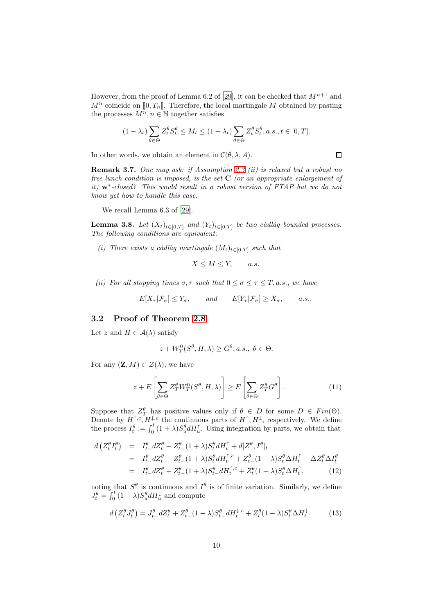However, from the proof of Lemma 6.2 of [\[29\]](#page-17-9), it can be checked that  $M^{n+1}$  and  $M^n$  coincide on  $[0, T_n]$ . Therefore, the local martingale M obtained by pasting the processes  $M^n, n \in \mathbb{N}$  together satisfies

$$
(1 - \lambda_t) \sum_{\theta \in \Theta} Z_t^{\theta} S_t^{\theta} \le M_t \le (1 + \lambda_t) \sum_{\theta \in \Theta} Z_t^{\theta} S_t^{\theta}, a.s., t \in [0, T].
$$

 $\Box$ 

In other words, we obtain an element in  $\mathcal{C}(\bar{\theta}, \lambda, A)$ .

Remark 3.7. *One may ask: if Assumption 2.3 (ii) is relaxed but a robust no free lunch condition is imposed, is the set* C *(or an appropriate enlargement of it)* w<sup>∗</sup> *-closed? This would result in a robust version of FTAP but we do not know yet how to handle this case.*

We recall Lemma 6.3 of [\[29](#page-17-9)].

<span id="page-9-0"></span>**Lemma 3.8.** *Let*  $(X_t)_{t \in [0,T]}$  *and*  $(Y_t)_{t \in [0,T]}$  *be two càdlàg bounded processes. The following conditions are equivalent:*

*(i) There exists a càdlàg martingale*  $(M_t)_{t \in [0,T]}$  *such that* 

 $X \leq M \leq Y$ , a.s.

*(ii)* For all stopping times  $\sigma$ ,  $\tau$  *such that*  $0 \leq \sigma \leq \tau \leq T$ , *a.s.*, we have

$$
E[X_{\tau}|\mathcal{F}_{\sigma}] \le Y_{\sigma}, \quad and \quad E[Y_{\tau}|\mathcal{F}_{\sigma}] \ge X_{\sigma}, \quad a.s..
$$

#### 3.2 Proof of Theorem [2.8](#page-5-1)

Let z and  $H \in \mathcal{A}(\lambda)$  satisfy

$$
z + W_T^0(S^{\theta}, H, \lambda) \ge G^{\theta}, a.s., \ \theta \in \Theta.
$$

For any  $(\mathbf{Z}, M) \in \mathcal{Z}(\lambda)$ , we have

<span id="page-9-3"></span>
$$
z + E\left[\sum_{\theta \in \Theta} Z_T^{\theta} W_T^0(S^{\theta}, H, \lambda)\right] \ge E\left[\sum_{\theta \in \Theta} Z_T^{\theta} G^{\theta}\right].
$$
 (11)

Suppose that  $Z_T^{\theta}$  has positive values only if  $\theta \in D$  for some  $D \in Fin(\Theta)$ . Denote by  $H^{\uparrow,c}, H^{\downarrow,c}$  the continuous parts of  $H^{\uparrow}, H^{\downarrow}$ , respectively. We define the process  $I_t^{\theta} := \int_0^t (1 + \lambda) S_u^{\theta} dH_u^{\uparrow}$ . Using integration by parts, we obtain that

<span id="page-9-1"></span>
$$
d\left(Z_t^{\theta} I_t^{\theta}\right) = I_{t-d}^{\theta} Z_t^{\theta} + Z_{t-d}^{\theta} (1+\lambda) S_t^{\theta} dH_t^{\uparrow} + d[Z^{\theta}, I^{\theta}]_t
$$
  
\n
$$
= I_{t-d}^{\theta} Z_t^{\theta} + Z_{t-d}^{\theta} (1+\lambda) S_t^{\theta} dH_t^{\uparrow,c} + Z_{t-d}^{\theta} (1+\lambda) S_t^{\theta} \Delta H_t^{\uparrow} + \Delta Z_t^{\theta} \Delta I_t^{\theta}
$$
  
\n
$$
= I_{t-d}^{\theta} Z_t^{\theta} + Z_{t-d}^{\theta} (1+\lambda) S_t^{\theta} dH_t^{\uparrow,c} + Z_t^{\theta} (1+\lambda) S_t^{\theta} \Delta H_t^{\uparrow}, \qquad (12)
$$

noting that  $S^{\theta}$  is continuous and  $I^{\theta}$  is of finite variation. Similarly, we define  $J_t^{\theta} = \int_0^t (1 - \lambda) S_u^{\theta} dH_u^{\downarrow}$  and compute

<span id="page-9-2"></span>
$$
d\left(Z_t^{\theta} J_t^{\theta}\right) = J_{t-}^{\theta} dZ_t^{\theta} + Z_{t-}^{\theta} (1-\lambda) S_{t-}^{\theta} dH_t^{\downarrow,c} + Z_t^{\theta} (1-\lambda) S_t^{\theta} \Delta H_t^{\downarrow}.
$$
 (13)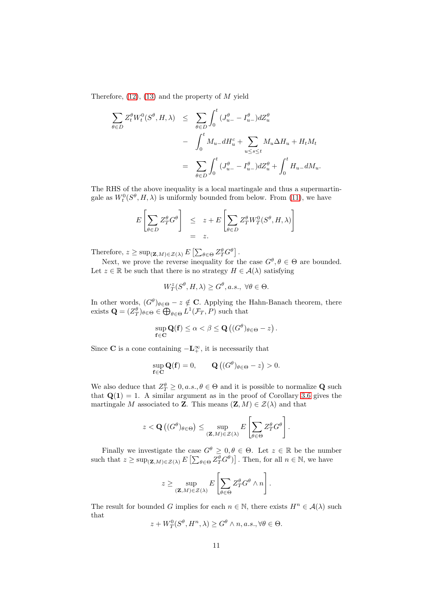Therefore,  $(12)$ ,  $(13)$  and the property of M yield

$$
\sum_{\theta \in D} Z_t^{\theta} W_t^0(S^{\theta}, H, \lambda) \leq \sum_{\theta \in D} \int_0^t (J_{u-}^{\theta} - I_{u-}^{\theta}) dZ_u^{\theta}
$$

$$
- \int_0^t M_{u-} dH_u^c + \sum_{u \leq s \leq t} M_u \Delta H_u + H_t M_t
$$

$$
= \sum_{\theta \in D} \int_0^t (J_{u-}^{\theta} - I_{u-}^{\theta}) dZ_u^{\theta} + \int_0^t H_{u-} dM_u.
$$

The RHS of the above inequality is a local martingale and thus a supermartingale as  $W_t^0(S^{\theta}, H, \lambda)$  is uniformly bounded from below. From [\(11\)](#page-9-3), we have

$$
E\left[\sum_{\theta \in D} Z_T^{\theta} G^{\theta}\right] \leq z + E\left[\sum_{\theta \in D} Z_T^{\theta} W_T^0(S^{\theta}, H, \lambda)\right]
$$
  
= z.

Therefore,  $z \ge \sup_{(\mathbf{Z},M) \in \mathcal{Z}(\lambda)} E \left[ \sum_{\theta \in \Theta} Z_T^{\theta} G^{\theta} \right].$ 

Next, we prove the reverse inequality for the case  $G^{\theta}, \theta \in \Theta$  are bounded. Let  $z \in \mathbb{R}$  be such that there is no strategy  $H \in \mathcal{A}(\lambda)$  satisfying

$$
W_T^z(S^{\theta}, H, \lambda) \ge G^{\theta}, a.s., \ \forall \theta \in \Theta.
$$

In other words,  $(G^{\theta})_{\theta \in \Theta} - z \notin \mathbb{C}$ . Applying the Hahn-Banach theorem, there exists  $\mathbf{Q} = (Z_T^{\theta})_{\theta \in \Theta} \in \bigoplus_{\theta \in \Theta} L^1(\mathcal{F}_T, P)$  such that

$$
\sup_{\mathbf{f}\in\mathbf{C}}\mathbf{Q}(\mathbf{f})\leq\alpha<\beta\leq\mathbf{Q}\left((G^{\theta})_{\theta\in\Theta}-z\right).
$$

Since **C** is a cone containing  $-\mathbf{L}_+^{\infty}$ , it is necessarily that

$$
\sup_{\mathbf{f}\in\mathbf{C}}\mathbf{Q}(\mathbf{f})=0,\qquad\mathbf{Q}\left((G^{\theta})_{\theta\in\Theta}-z\right)>0.
$$

We also deduce that  $Z_T^{\theta} \geq 0, a.s., \theta \in \Theta$  and it is possible to normalize **Q** such that  $Q(1) = 1$ . A similar argument as in the proof of Corollary [3.6](#page-8-2) gives the martingale M associated to **Z**. This means  $(\mathbf{Z}, M) \in \mathcal{Z}(\lambda)$  and that

$$
z < \mathbf{Q}\left((G^{\theta})_{\theta \in \Theta}\right) \leq \sup_{(\mathbf{Z},M) \in \mathcal{Z}(\lambda)} E\left[\sum_{\theta \in \Theta} Z_T^{\theta} G^{\theta}\right].
$$

Finally we investigate the case  $G^{\theta} \geq 0, \theta \in \Theta$ . Let  $z \in \mathbb{R}$  be the number such that  $z \ge \sup_{(\mathbf{Z},M) \in \mathcal{Z}(\lambda)} E\left[\sum_{\theta \in \Theta} Z_T^{\theta} G^{\theta}\right]$ . Then, for all  $n \in \mathbb{N}$ , we have

$$
z\geq \sup_{(\mathbf{Z},M)\in\mathcal{Z}(\lambda)} E\left[\sum_{\theta\in\Theta} Z_T^{\theta}G^{\theta}\wedge n\right].
$$

The result for bounded G implies for each  $n \in \mathbb{N}$ , there exists  $H^n \in \mathcal{A}(\lambda)$  such that

$$
z + W_T^0(S^{\theta}, H^n, \lambda) \ge G^{\theta} \wedge n, a.s., \forall \theta \in \Theta.
$$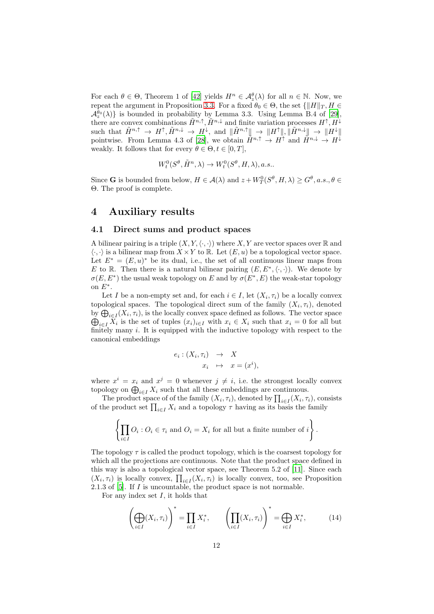For each  $\theta \in \Theta$ , Theorem 1 of [\[42](#page-18-1)] yields  $H^n \in \mathcal{A}_{z}^{\theta}(\lambda)$  for all  $n \in \mathbb{N}$ . Now, we repeat the argument in Proposition [3.3.](#page-6-0) For a fixed  $\theta_0 \in \Theta$ , the set  $\{||H||_T, H \in$  $\mathcal{A}^{\theta_0}_{z}(\lambda)$  is bounded in probability by Lemma 3.3. Using Lemma B.4 of [\[29\]](#page-17-9), there are convex combinations  $\tilde{H}^{n,\uparrow}, \tilde{H}^{n,\downarrow}$  and finite variation processes  $H^{\uparrow}, H^{\downarrow}$ such that  $\tilde{H}^{n,\uparrow} \to H^{\uparrow}, \tilde{H}^{n,\downarrow} \to H^{\downarrow}$ , and  $\|\tilde{H}^{n,\uparrow}\| \to \|H^{\uparrow}\|, \|\tilde{H}^{n,\downarrow}\| \to \|H^{\downarrow}\|$ pointwise. From Lemma 4.3 of [\[28\]](#page-17-12), we obtain  $\tilde{H}^{n,\uparrow} \to H^{\uparrow}$  and  $\tilde{H}^{n,\downarrow} \to H^{\downarrow}$ weakly. It follows that for every  $\theta \in \Theta, t \in [0, T]$ ,

$$
W_t^0(S^{\theta}, \tilde{H}^n, \lambda) \to W_t^0(S^{\theta}, H, \lambda), a.s..
$$

Since **G** is bounded from below,  $H \in \mathcal{A}(\lambda)$  and  $z + W_T^0(S^\theta, H, \lambda) \geq G^\theta, a.s., \theta \in$ Θ. The proof is complete.

### <span id="page-11-0"></span>4 Auxiliary results

#### 4.1 Direct sums and product spaces

A bilinear pairing is a triple  $(X, Y, \langle \cdot, \cdot \rangle)$  where X, Y are vector spaces over R and  $\langle \cdot, \cdot \rangle$  is a bilinear map from  $X \times Y$  to R. Let  $(E, u)$  be a topological vector space. Let  $E^* = (E, u)^*$  be its dual, i.e., the set of all continuous linear maps from E to R. Then there is a natural bilinear pairing  $(E, E^*, \langle \cdot, \cdot \rangle)$ . We denote by  $\sigma(E, E^*)$  the usual weak topology on E and by  $\sigma(E^*, E)$  the weak-star topology on  $E^*$ .

Let I be a non-empty set and, for each  $i \in I$ , let  $(X_i, \tau_i)$  be a locally convex topological spaces. The topological direct sum of the family  $(X_i, \tau_i)$ , denoted by  $\bigoplus_{i\in I}(X_i,\tau_i)$ , is the locally convex space defined as follows. The vector space  $\bigoplus_{i\in I} X_i$  is the set of tuples  $(x_i)_{i\in I}$  with  $x_i \in X_i$  such that  $x_i = 0$  for all but finitely many i. It is equipped with the inductive topology with respect to the canonical embeddings

$$
e_i: (X_i, \tau_i) \rightarrow X
$$
  

$$
x_i \rightarrow x = (x^i),
$$

where  $x^i = x_i$  and  $x^j = 0$  whenever  $j \neq i$ , i.e. the strongest locally convex topology on  $\bigoplus_{i\in I} X_i$  such that all these embeddings are continuous.

The product space of of the family  $(X_i, \tau_i)$ , denoted by  $\prod_{i \in I} (X_i, \tau_i)$ , consists of the product set  $\prod_{i\in I} X_i$  and a topology  $\tau$  having as its basis the family

$$
\left\{ \prod_{i \in I} O_i : O_i \in \tau_i \text{ and } O_i = X_i \text{ for all but a finite number of } i \right\}.
$$

The topology  $\tau$  is called the product topology, which is the coarsest topology for which all the projections are continuous. Note that the product space defined in this way is also a topological vector space, see Theorem 5.2 of [\[11\]](#page-16-15). Since each  $(X_i, \tau_i)$  is locally convex,  $\prod_{i \in I} (X_i, \tau_i)$  is locally convex, too, see Proposition 2.1.3 of  $[5]$ . If I is uncountable, the product space is not normable.

For any index set  $I$ , it holds that

$$
\left(\bigoplus_{i\in I} (X_i, \tau_i)\right)^* = \prod_{i\in I} X_i^*, \qquad \left(\prod_{i\in I} (X_i, \tau_i)\right)^* = \bigoplus_{i\in I} X_i^*, \tag{14}
$$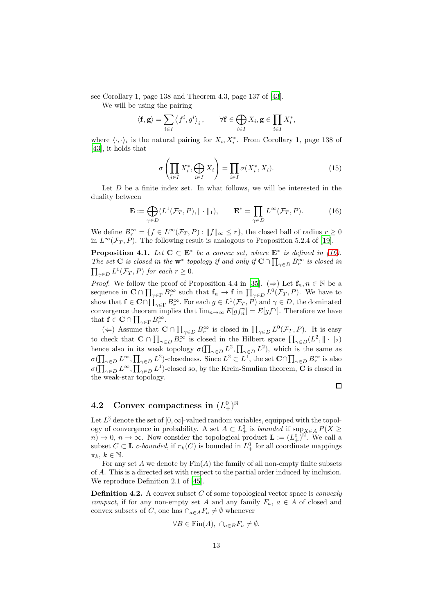see Corollary 1, page 138 and Theorem 4.3, page 137 of [\[43\]](#page-18-2).

We will be using the pairing

$$
\langle \mathbf{f}, \mathbf{g} \rangle = \sum_{i \in I} \left\langle f^i, g^i \right\rangle_i, \qquad \forall \mathbf{f} \in \bigoplus_{i \in I} X_i, \mathbf{g} \in \prod_{i \in I} X_i^*,
$$

where  $\langle \cdot, \cdot \rangle_i$  is the natural pairing for  $X_i, X_i^*$ . From Corollary 1, page 138 of [\[43\]](#page-18-2), it holds that

$$
\sigma\left(\prod_{i\in I} X_i^*, \bigoplus_{i\in I} X_i\right) = \prod_{i\in I} \sigma(X_i^*, X_i). \tag{15}
$$

Let  $D$  be a finite index set. In what follows, we will be interested in the duality between

<span id="page-12-1"></span>
$$
\mathbf{E} := \bigoplus_{\gamma \in D} (L^1(\mathcal{F}_T, P), \| \cdot \|_1), \qquad \mathbf{E}^* = \prod_{\gamma \in D} L^{\infty}(\mathcal{F}_T, P). \tag{16}
$$

We define  $B_r^{\infty} = \{f \in L^{\infty}(\mathcal{F}_T, P) : ||f||_{\infty} \leq r\}$ , the closed ball of radius  $r \geq 0$ in  $L^{\infty}(\mathcal{F}_T, P)$ . The following result is analogous to Proposition 5.2.4 of [\[19](#page-16-13)].

<span id="page-12-0"></span>**Proposition 4.1.** Let  $C \subset E^*$  be a convex set, where  $E^*$  is defined in [\(16\)](#page-12-1). *The set* **C** *is closed in the*  $w^*$  *topology if and only if*  $C \cap \prod_{\gamma \in D} B_r^{\infty}$  *is closed in*  $\prod_{\gamma \in D} L^0(\mathcal{F}_T, P)$  *for each*  $r \geq 0$ *.* 

*Proof.* We follow the proof of Proposition 4.4 in [\[35](#page-17-14)]. ( $\Rightarrow$ ) Let  $f_n, n \in \mathbb{N}$  be a sequence in  $\mathbf{C} \cap \prod_{\gamma \in \Gamma} B_{r}^{\infty}$  such that  $\mathbf{f}_{n} \to \mathbf{f}$  in  $\prod_{\gamma \in D} L^{0}(\mathcal{F}_{T}, P)$ . We have to show that  $f \in \mathbf{C} \cap \prod_{\gamma \in \Gamma} B_r^{\infty}$ . For each  $g \in L^1(\mathcal{F}_T, P)$  and  $\gamma \in D$ , the dominated convergence theorem implies that  $\lim_{n\to\infty} E[g f_n^{\gamma}] = E[g f^{\gamma}]$ . Therefore we have that  $f \in \mathbf{C} \cap \prod_{\gamma \in \Gamma} B_r^{\infty}$ .

(←) Assume that  $C \cap \prod_{\gamma \in D} B_r^{\infty}$  is closed in  $\prod_{\gamma \in D} L^0(\mathcal{F}_T, P)$ . It is easy to check that  $\mathbf{C} \cap \prod_{\gamma \in D} B_{r}^{\infty}$  is closed in the Hilbert space  $\prod_{\gamma \in D} (L^2, \|\cdot\|_2)$ hence also in its weak topology  $\sigma(\prod_{\gamma\in D} L^2, \prod_{\gamma\in D} L^2)$ , which is the same as  $\sigma(\prod_{\gamma\in D}L^{\infty},\prod_{\gamma\in D}L^2)$ -closedness. Since  $L^2\subset L^1$ , the set  $\mathbf{C}\cap\prod_{\gamma\in D}B_r^{\infty}$  is also  $\sigma(\prod_{\gamma\in D}L^{\infty},\prod_{\gamma\in D}L^1)$ -closed so, by the Krein-Smulian theorem, C is closed in the weak-star topology.

 $\Box$ 

## <span id="page-12-2"></span>4.2 Convex compactness in  $(L_+^0)^\mathbb{N}$

Let  $L^{\S}$  denote the set of  $[0, \infty]$ -valued random variables, equipped with the topology of convergence in probability. A set  $A \subset L^0_+$  is *bounded* if  $\sup_{X \in A} P(X \geq$  $n \to 0$ ,  $n \to \infty$ . Now consider the topological product  $\mathbf{L} := (L_+^0)^{\mathbb{N}}$ . We call a subset  $C \subset \mathbf{L}$  *c*-bounded, if  $\pi_k(C)$  is bounded in  $L^0_+$  for all coordinate mappings  $\pi_k, k \in \mathbb{N}.$ 

For any set  $A$  we denote by  $\text{Fin}(A)$  the family of all non-empty finite subsets of A. This is a directed set with respect to the partial order induced by inclusion. We reproduce Definition 2.1 of [\[45\]](#page-18-3).

Definition 4.2. A convex subset C of some topological vector space is *convexly compact*, if for any non-empty set A and any family  $F_a$ ,  $a \in A$  of closed and convex subsets of C, one has  $\cap_{a\in A}F_a\neq\emptyset$  whenever

$$
\forall B \in \text{Fin}(A), \ \cap_{a \in B} F_a \neq \emptyset.
$$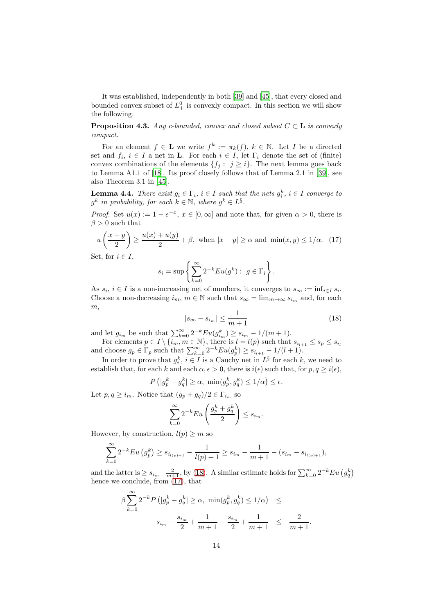It was established, independently in both [\[39](#page-17-15)] and [\[45\]](#page-18-3), that every closed and bounded convex subset of  $L^0_+$  is convexly compact. In this section we will show the following.

<span id="page-13-2"></span>**Proposition 4.3.** *Any c-bounded, convex and closed subset*  $C \subset L$  *is convexly compact.*

For an element  $f \in \mathbf{L}$  we write  $f^k := \pi_k(f)$ ,  $k \in \mathbb{N}$ . Let I be a directed set and  $f_i, i \in I$  a net in **L**. For each  $i \in I$ , let  $\Gamma_i$  denote the set of (finite) convex combinations of the elements  $\{f_j : j \geq i\}$ . The next lemma goes back to Lemma A1.1 of [\[18\]](#page-16-16). Its proof closely follows that of Lemma 2.1 in [\[39\]](#page-17-15), see also Theorem 3.1 in [\[45](#page-18-3)].

<span id="page-13-3"></span>**Lemma 4.4.** *There exist*  $g_i \in \Gamma_i$ ,  $i \in I$  *such that the nets*  $g_i^k$ ,  $i \in I$  *converge to*  $g^k$  in probability, for each  $k \in \mathbb{N}$ , where  $g^k \in L^{\S}$ .

*Proof.* Set  $u(x) := 1 - e^{-x}$ ,  $x \in [0, \infty]$  and note that, for given  $\alpha > 0$ , there is  $\beta>0$  such that

<span id="page-13-1"></span>
$$
u\left(\frac{x+y}{2}\right) \ge \frac{u(x)+u(y)}{2} + \beta, \text{ when } |x-y| \ge \alpha \text{ and } \min(x,y) \le 1/\alpha. \tag{17}
$$

Set, for  $i \in I$ ,

$$
s_i = \sup \left\{ \sum_{k=0}^{\infty} 2^{-k} E u(g^k) : g \in \Gamma_i \right\}.
$$

As  $s_i$ ,  $i \in I$  is a non-increasing net of numbers, it converges to  $s_{\infty} := \inf_{i \in I} s_i$ . Choose a non-decreasing  $i_m$ ,  $m \in \mathbb{N}$  such that  $s_{\infty} = \lim_{m \to \infty} s_{i_m}$  and, for each  $m,$ 

<span id="page-13-0"></span>
$$
|s_{\infty} - s_{i_m}| \le \frac{1}{m+1} \tag{18}
$$

and let  $g_{i_m}$  be such that  $\sum_{k=0}^{\infty} 2^{-k} E u(g_{i_m}^k) \geq s_{i_m} - 1/(m+1)$ .

For elements  $p \in I \setminus \{i_m, m \in \mathbb{N}\},$  there is  $l = l(p)$  such that  $s_{i_{l+1}} \leq s_p \leq s_{i_l}$ and choose  $g_p \in \Gamma_p$  such that  $\sum_{k=0}^{\infty} 2^{-k}Eu(g_p^k) \geq s_{i_{l+1}} - 1/(l+1)$ .

In order to prove that  $g_i^k$ ,  $i \in I$  is a Cauchy net in  $L^{\S}$  for each k, we need to establish that, for each k and each  $\alpha, \epsilon > 0$ , there is  $i(\epsilon)$  such that, for  $p, q \geq i(\epsilon)$ ,

$$
P\left(|g_p^k - g_q^k| \ge \alpha, \ \min(g_p^k, g_q^k) \le 1/\alpha\right) \le \epsilon.
$$

Let  $p, q \geq i_m$ . Notice that  $(g_p + g_q)/2 \in \Gamma_{i_m}$  so

$$
\sum_{k=0}^{\infty} 2^{-k} Eu\left(\frac{g_p^k + g_q^k}{2}\right) \le s_{i_m}.
$$

However, by construction,  $l(p) \geq m$  so

$$
\sum_{k=0}^{\infty} 2^{-k} Eu(g_p^k) \ge s_{i_{l(p)+1}} - \frac{1}{l(p)+1} \ge s_{i_m} - \frac{1}{m+1} - (s_{i_m} - s_{i_{l(p)+1}}),
$$

and the latter is  $\geq s_{i_m} - \frac{2}{m+1}$ , by [\(18\)](#page-13-0). A similar estimate holds for  $\sum_{k=0}^{\infty} 2^{-k} Eu(g_q^k)$ hence we conclude, from  $(17)$ , that

$$
\beta \sum_{k=0}^{\infty} 2^{-k} P\left(|g_p^k - g_q^k| \ge \alpha, \ \min(g_p^k, g_q^k) \le 1/\alpha\right) \le
$$
  

$$
s_{i_m} - \frac{s_{i_m}}{2} + \frac{1}{m+1} - \frac{s_{i_m}}{2} + \frac{1}{m+1} \le \frac{2}{m+1}.
$$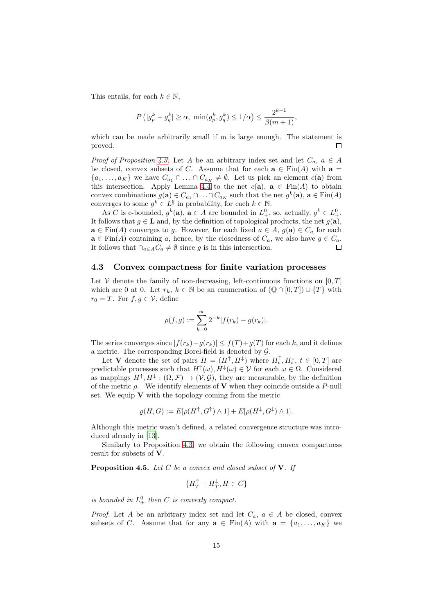This entails, for each  $k \in \mathbb{N}$ ,

$$
P(|g_p^k - g_q^k| \ge \alpha, \min(g_p^k, g_q^k) \le 1/\alpha) \le \frac{2^{k+1}}{\beta(m+1)},
$$

which can be made arbitrarily small if  $m$  is large enough. The statement is  $\Box$ proved.

*Proof of Proposition* [4.3.](#page-13-2) Let A be an arbitrary index set and let  $C_a$ ,  $a \in A$ be closed, convex subsets of C. Assume that for each  $\mathbf{a} \in \text{Fin}(A)$  with  $\mathbf{a} =$  ${a_1, \ldots, a_K}$  we have  $C_{a_1} \cap \ldots \cap C_{a_K} \neq \emptyset$ . Let us pick an element  $c(\mathbf{a})$  from this intersection. Apply Lemma [4.4](#page-13-3) to the net  $c(\mathbf{a})$ ,  $\mathbf{a} \in \text{Fin}(A)$  to obtain convex combinations  $g(\mathbf{a}) \in C_{a_1} \cap \ldots \cap C_{a_K}$  such that the net  $g^k(\mathbf{a})$ ,  $\mathbf{a} \in \text{Fin}(A)$ converges to some  $g^k \in L^{\S}$  in probability, for each  $k \in \mathbb{N}$ .

As C is c-bounded,  $g^k(\mathbf{a})$ ,  $\mathbf{a} \in A$  are bounded in  $L^0_+$ , so, actually,  $g^k \in L^0_+$ . It follows that  $g \in L$  and, by the definition of topological products, the net  $g(\mathbf{a})$ ,  $\mathbf{a} \in \text{Fin}(A)$  converges to g. However, for each fixed  $a \in A$ ,  $g(\mathbf{a}) \in C_a$  for each  $\mathbf{a} \in \text{Fin}(A)$  containing a, hence, by the closedness of  $C_a$ , we also have  $g \in C_a$ . It follows that  $\cap_{a\in A}C_a\neq\emptyset$  since g is in this intersection.  $\Box$ 

#### <span id="page-14-0"></span>4.3 Convex compactness for finite variation processes

Let V denote the family of non-decreasing, left-continuous functions on  $[0, T]$ which are 0 at 0. Let  $r_k, k \in \mathbb{N}$  be an enumeration of  $(\mathbb{Q} \cap [0,T]) \cup \{T\}$  with  $r_0 = T$ . For  $f, g \in V$ , define

$$
\rho(f,g) := \sum_{k=0}^{\infty} 2^{-k} |f(r_k) - g(r_k)|.
$$

The series converges since  $|f(r_k)-g(r_k)| \leq f(T)+g(T)$  for each k, and it defines a metric. The corresponding Borel-field is denoted by  $\mathcal{G}$ .

Let V denote the set of pairs  $H = (H^{\uparrow}, H^{\downarrow})$  where  $H_t^{\uparrow}, H_t^{\downarrow}, t \in [0, T]$  are predictable processes such that  $H^{\uparrow}(\omega), H^{\downarrow}(\omega) \in \mathcal{V}$  for each  $\omega \in \Omega$ . Considered as mappings  $H^{\uparrow}, H^{\downarrow} : (\Omega, \mathcal{F}) \to (\mathcal{V}, \mathcal{G})$ , they are measurable, by the definition of the metric  $\rho$ . We identify elements of **V** when they coincide outside a P-null set. We equip  $V$  with the topology coming from the metric

$$
\varrho(H,G):=E[\rho(H^{\uparrow},G^{\uparrow})\wedge 1]+E[\rho(H^{\downarrow},G^{\downarrow})\wedge 1].
$$

Although this metric wasn't defined, a related convergence structure was introduced already in [\[13](#page-16-9)].

Similarly to Proposition [4.3,](#page-13-2) we obtain the following convex compactness result for subsets of V.

<span id="page-14-1"></span>Proposition 4.5. *Let* C *be a convex and closed subset of* V*. If*

$$
\{H_T^{\uparrow} + H_T^{\downarrow}, H \in C\}
$$

is bounded in  $L^0_+$  then C is convexly compact.

*Proof.* Let A be an arbitrary index set and let  $C_a$ ,  $a \in A$  be closed, convex subsets of C. Assume that for any  $\mathbf{a} \in \text{Fin}(A)$  with  $\mathbf{a} = \{a_1, \ldots, a_K\}$  we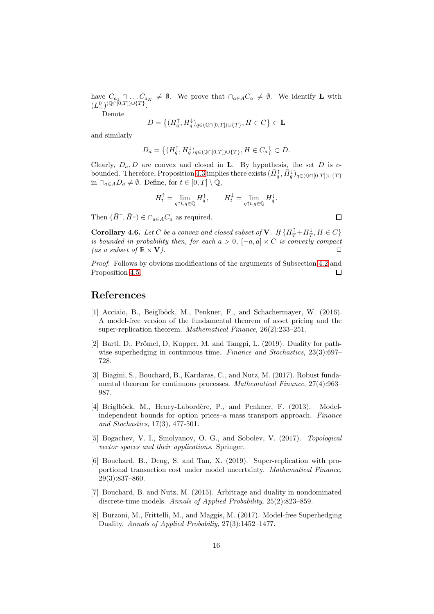have  $C_{a_1} \cap \ldots C_{a_K} \neq \emptyset$ . We prove that  $\cap_{a \in A} C_a \neq \emptyset$ . We identify **L** with  $(L^0_+)^{(\mathbb{Q}\cap [0,T])\cup \{T\}}.$ 

Denote

$$
D = \left\{ (H_q^{\uparrow}, H_q^{\downarrow})_{q \in (\mathbb{Q} \cap [0,T]) \cup \{T\}}, H \in C \right\} \subset \mathbf{L}
$$

and similarly

$$
D_a = \left\{ (H_q^{\uparrow}, H_q^{\downarrow})_{q \in (\mathbb{Q} \cap [0,T]) \cup \{T\}}, H \in C_a \right\} \subset D.
$$

Clearly,  $D_a, D$  are convex and closed in **L**. By hypothesis, the set D is c-bounded. Therefore, Proposition [4.3](#page-13-2) implies there exists  $(\bar{H}_q^{\uparrow}, \bar{H}_q^{\downarrow})_{q \in (Q \cap [0,T]) \cup \{T\}}$ in  $\cap_{a\in A}D_a\neq\emptyset$ . Define, for  $t\in[0,T]\setminus\mathbb{Q}$ ,

$$
H_t^{\uparrow} = \lim_{q \uparrow t, q \in \mathbb{Q}} H_q^{\uparrow}, \qquad H_t^{\downarrow} = \lim_{q \uparrow t, q \in \mathbb{Q}} H_q^{\downarrow}.
$$

Then  $(\bar{H}^{\uparrow}, \bar{H}^{\downarrow}) \in \cap_{a \in A} C_a$  as required.

**Corollary 4.6.** Let C be a convex and closed subset of **V**. If  $\{H_T^{\uparrow} + H_T^{\downarrow}, H \in C\}$ *is bounded in probability then, for each*  $a > 0$ ,  $[-a, a] \times C$  *is convexly compact (as a subset of*  $\mathbb{R} \times \mathbf{V}$ ).

*Proof.* Follows by obvious modifications of the arguments of Subsection [4.2](#page-12-2) and Proposition [4.5.](#page-14-1)  $\Box$ 

## References

- <span id="page-15-4"></span>[1] Acciaio, B., Beiglböck, M., Penkner, F., and Schachermayer, W. (2016). A model-free version of the fundamental theorem of asset pricing and the super-replication theorem. *Mathematical Finance*, 26(2):233–251.
- <span id="page-15-3"></span>[2] Bartl, D., Prömel, D., Kupper, M. and Tangpi, L.  $(2019)$ . Duality for pathwise superhedging in continuous time. *Finance and Stochastics*, 23(3):697– 728.
- <span id="page-15-6"></span>[3] Biagini, S., Bouchard, B., Kardaras, C., and Nutz, M. (2017). Robust fundamental theorem for continuous processes. *Mathematical Finance*, 27(4):963– 987.
- <span id="page-15-0"></span>[4] Beiglböck, M., Henry-Labordère, P., and Penkner, F. (2013). Modelindependent bounds for option prices–a mass transport approach. *Finance and Stochastics*, 17(3), 477-501.
- <span id="page-15-7"></span>[5] Bogachev, V. I., Smolyanov, O. G., and Sobolev, V. (2017). *Topological vector spaces and their applications*. Springer.
- <span id="page-15-5"></span>[6] Bouchard, B., Deng, S. and Tan, X. (2019). Super-replication with proportional transaction cost under model uncertainty. *Mathematical Finance*, 29(3):837–860.
- <span id="page-15-1"></span>[7] Bouchard, B. and Nutz, M. (2015). Arbitrage and duality in nondominated discrete-time models. *Annals of Applied Probability*, 25(2):823–859.
- <span id="page-15-2"></span>[8] Burzoni, M., Frittelli, M., and Maggis, M. (2017). Model-free Superhedging Duality. *Annals of Applied Probabiliy*, 27(3):1452–1477.

 $\Box$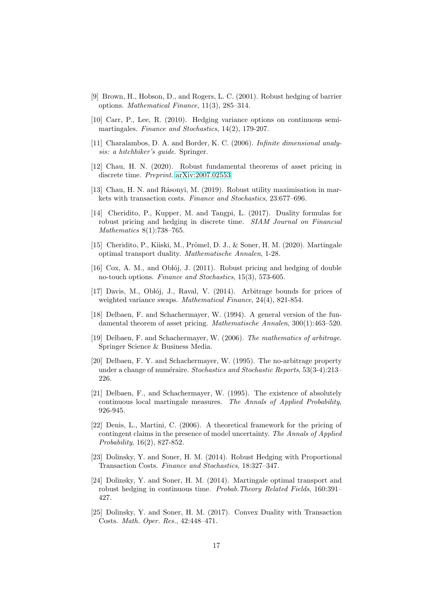- <span id="page-16-0"></span>[9] Brown, H., Hobson, D., and Rogers, L. C. (2001). Robust hedging of barrier options. *Mathematical Finance*, 11(3), 285–314.
- <span id="page-16-2"></span>[10] Carr, P., Lee, R. (2010). Hedging variance options on continuous semimartingales. *Finance and Stochastics*, 14(2), 179-207.
- <span id="page-16-15"></span>[11] Charalambos, D. A. and Border, K. C. (2006). *Infinite dimensional analysis: a hitchhiker's guide*. Springer.
- <span id="page-16-10"></span>[12] Chau, H. N. (2020). Robust fundamental theorems of asset pricing in discrete time. *Preprint*. [arXiv:2007.02553.](http://arxiv.org/abs/2007.02553)
- <span id="page-16-9"></span>[13] Chau, H. N. and Rásonyi, M. (2019). Robust utility maximisation in markets with transaction costs. *Finance and Stochastics*, 23:677–696.
- <span id="page-16-6"></span>[14] Cheridito, P., Kupper, M. and Tangpi, L. (2017). Duality formulas for robust pricing and hedging in discrete time. *SIAM Journal on Financial Mathematics* 8(1):738–765.
- <span id="page-16-14"></span>[15] Cheridito, P., Kiiski, M., Prömel, D. J., & Soner, H. M. (2020). Martingale optimal transport duality. *Mathematische Annalen*, 1-28.
- <span id="page-16-1"></span>[16] Cox, A. M., and Oblój, J. (2011). Robust pricing and hedging of double no-touch options. *Finance and Stochastics*, 15(3), 573-605.
- <span id="page-16-5"></span> $[17]$  Davis, M., Oblój, J., Raval, V.  $(2014)$ . Arbitrage bounds for prices of weighted variance swaps. *Mathematical Finance*, 24(4), 821-854.
- <span id="page-16-16"></span>[18] Delbaen, F. and Schachermayer, W. (1994). A general version of the fundamental theorem of asset pricing. *Mathematische Annalen*, 300(1):463–520.
- <span id="page-16-13"></span>[19] Delbaen, F. and Schachermayer, W. (2006). *The mathematics of arbitrage*. Springer Science & Business Media.
- <span id="page-16-11"></span>[20] Delbaen, F. Y. and Schachermayer, W. (1995). The no-arbitrage property under a change of numéraire. *Stochastics and Stochastic Reports*, 53(3-4):213– 226.
- <span id="page-16-12"></span>[21] Delbaen, F., and Schachermayer, W. (1995). The existence of absolutely continuous local martingale measures. *The Annals of Applied Probability*, 926-945.
- <span id="page-16-4"></span>[22] Denis, L., Martini, C. (2006). A theoretical framework for the pricing of contingent claims in the presence of model uncertainty. *The Annals of Applied Probability*, 16(2), 827-852.
- <span id="page-16-7"></span>[23] Dolinsky, Y. and Soner, H. M. (2014). Robust Hedging with Proportional Transaction Costs. *Finance and Stochastics*, 18:327–347.
- <span id="page-16-3"></span>[24] Dolinsky, Y. and Soner, H. M. (2014). Martingale optimal transport and robust hedging in continuous time. *Probab.Theory Related Fields*, 160:391– 427.
- <span id="page-16-8"></span>[25] Dolinsky, Y. and Soner, H. M. (2017). Convex Duality with Transaction Costs. *Math. Oper. Res.*, 42:448–471.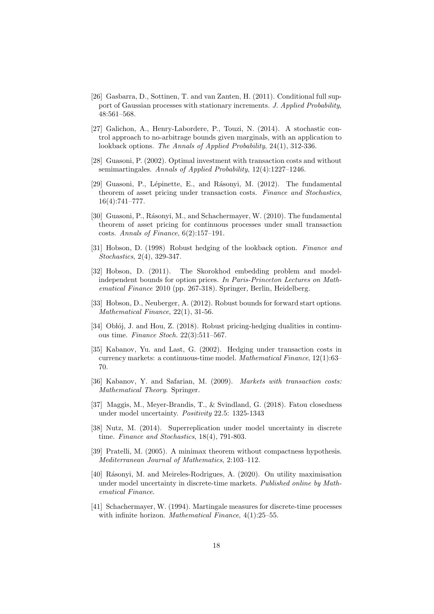- <span id="page-17-11"></span>[26] Gasbarra, D., Sottinen, T. and van Zanten, H. (2011). Conditional full support of Gaussian processes with stationary increments. *J. Applied Probability*, 48:561–568.
- <span id="page-17-3"></span>[27] Galichon, A., Henry-Labordere, P., Touzi, N. (2014). A stochastic control approach to no-arbitrage bounds given marginals, with an application to lookback options. *The Annals of Applied Probability*, 24(1), 312-336.
- <span id="page-17-12"></span>[28] Guasoni, P. (2002). Optimal investment with transaction costs and without semimartingales. *Annals of Applied Probability*, 12(4):1227–1246.
- <span id="page-17-9"></span>[29] Guasoni, P., Lépinette, E., and Rásonyi, M. (2012). The fundamental theorem of asset pricing under transaction costs. *Finance and Stochastics*, 16(4):741–777.
- <span id="page-17-10"></span>[30] Guasoni, P., Rásonyi, M., and Schachermayer, W. (2010). The fundamental theorem of asset pricing for continuous processes under small transaction costs. *Annals of Finance*, 6(2):157–191.
- <span id="page-17-0"></span>[31] Hobson, D. (1998) Robust hedging of the lookback option. *Finance and Stochastics*, 2(4), 329-347.
- <span id="page-17-2"></span>[32] Hobson, D. (2011). The Skorokhod embedding problem and modelindependent bounds for option prices. *In Paris-Princeton Lectures on Mathematical Finance* 2010 (pp. 267-318). Springer, Berlin, Heidelberg.
- <span id="page-17-1"></span>[33] Hobson, D., Neuberger, A. (2012). Robust bounds for forward start options. *Mathematical Finance*, 22(1), 31-56.
- <span id="page-17-5"></span>[34] Oblój, J. and Hou, Z. (2018). Robust pricing-hedging dualities in continuous time. *Finance Stoch.* 22(3):511–567.
- <span id="page-17-14"></span>[35] Kabanov, Yu. and Last, G. (2002). Hedging under transaction costs in currency markets: a continuous-time model. *Mathematical Finance*, 12(1):63– 70.
- <span id="page-17-8"></span>[36] Kabanov, Y. and Safarian, M. (2009). *Markets with transaction costs: Mathematical Theory*. Springer.
- <span id="page-17-13"></span>[37] Maggis, M., Meyer-Brandis, T., & Svindland, G. (2018). Fatou closedness under model uncertainty. *Positivity* 22.5: 1325-1343
- <span id="page-17-4"></span>[38] Nutz, M. (2014). Superreplication under model uncertainty in discrete time. *Finance and Stochastics*, 18(4), 791-803.
- <span id="page-17-15"></span>[39] Pratelli, M. (2005). A minimax theorem without compactness hypothesis. *Mediterranean Journal of Mathematics*, 2:103–112.
- <span id="page-17-6"></span>[40] Rásonyi, M. and Meireles-Rodrigues, A. (2020). On utility maximisation under model uncertainty in discrete-time markets. *Published online by Mathematical Finance*.
- <span id="page-17-7"></span>[41] Schachermayer, W. (1994). Martingale measures for discrete-time processes with infinite horizon. *Mathematical Finance*, 4(1):25–55.